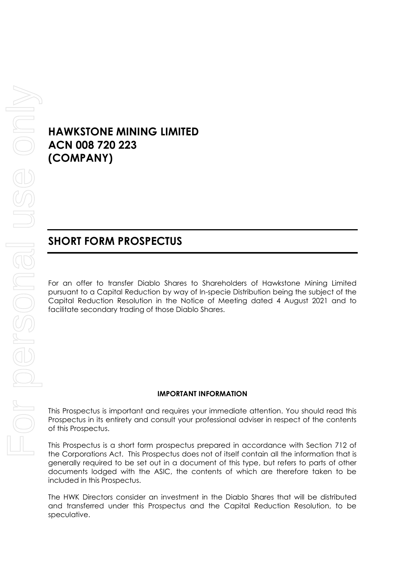# **HAWKSTONE MINING LIMITED ACN 008 720 223 (COMPANY)**

# **SHORT FORM PROSPECTUS**

For an offer to transfer Diablo Shares to Shareholders of Hawkstone Mining Limited pursuant to a Capital Reduction by way of In-specie Distribution being the subject of the Capital Reduction Resolution in the Notice of Meeting dated 4 August 2021 and to facilitate secondary trading of those Diablo Shares.

#### **IMPORTANT INFORMATION**

This Prospectus is important and requires your immediate attention. You should read this Prospectus in its entirety and consult your professional adviser in respect of the contents of this Prospectus.

This Prospectus is a short form prospectus prepared in accordance with Section 712 of the Corporations Act. This Prospectus does not of itself contain all the information that is generally required to be set out in a document of this type, but refers to parts of other documents lodged with the ASIC, the contents of which are therefore taken to be included in this Prospectus.

The HWK Directors consider an investment in the Diablo Shares that will be distributed and transferred under this Prospectus and the Capital Reduction Resolution, to be speculative.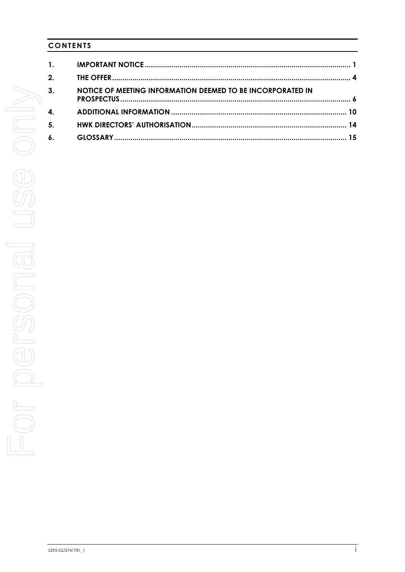# **CONTENTS**

| $\mathbf{1}$ . |                                                            |  |
|----------------|------------------------------------------------------------|--|
| 2.             |                                                            |  |
| 3.             | NOTICE OF MEETING INFORMATION DEEMED TO BE INCORPORATED IN |  |
| 4.             |                                                            |  |
| 5.             |                                                            |  |
| $\mathbf{6}$ . |                                                            |  |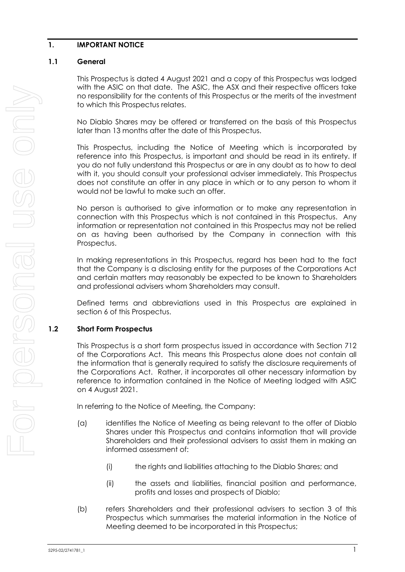## <span id="page-2-0"></span>**1. IMPORTANT NOTICE**

## **1.1 General**

This Prospectus is dated 4 August 2021 and a copy of this Prospectus was lodged with the ASIC on that date. The ASIC, the ASX and their respective officers take no responsibility for the contents of this Prospectus or the merits of the investment to which this Prospectus relates.

No Diablo Shares may be offered or transferred on the basis of this Prospectus later than 13 months after the date of this Prospectus.

This Prospectus, including the Notice of Meeting which is incorporated by reference into this Prospectus, is important and should be read in its entirety. If you do not fully understand this Prospectus or are in any doubt as to how to deal with it, you should consult your professional adviser immediately. This Prospectus does not constitute an offer in any place in which or to any person to whom it would not be lawful to make such an offer.

No person is authorised to give information or to make any representation in connection with this Prospectus which is not contained in this Prospectus. Any information or representation not contained in this Prospectus may not be relied on as having been authorised by the Company in connection with this Prospectus.

In making representations in this Prospectus, regard has been had to the fact that the Company is a disclosing entity for the purposes of the Corporations Act and certain matters may reasonably be expected to be known to Shareholders and professional advisers whom Shareholders may consult.

Defined terms and abbreviations used in this Prospectus are explained in section [6](#page-15-1) of this Prospectus.

# **1.2 Short Form Prospectus**

This Prospectus is a short form prospectus issued in accordance with Section 712 of the Corporations Act. This means this Prospectus alone does not contain all the information that is generally required to satisfy the disclosure requirements of the Corporations Act. Rather, it incorporates all other necessary information by reference to information contained in the Notice of Meeting lodged with ASIC on 4 August 2021.

In referring to the Notice of Meeting, the Company:

- (a) identifies the Notice of Meeting as being relevant to the offer of Diablo Shares under this Prospectus and contains information that will provide Shareholders and their professional advisers to assist them in making an informed assessment of:
	- (i) the rights and liabilities attaching to the Diablo Shares; and
	- (ii) the assets and liabilities, financial position and performance, profits and losses and prospects of Diablo;
- (b) refers Shareholders and their professional advisers to section [3](#page-7-0) of this Prospectus which summarises the material information in the Notice of Meeting deemed to be incorporated in this Prospectus;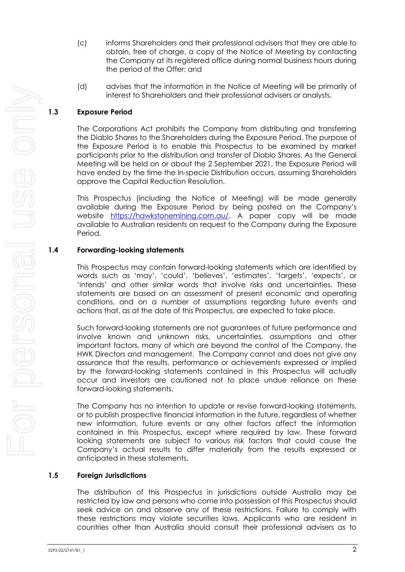- (c) informs Shareholders and their professional advisers that they are able to obtain, free of charge, a copy of the Notice of Meeting by contacting the Company at its registered office during normal business hours during the period of the Offer; and
- (d) advises that the information in the Notice of Meeting will be primarily of interest to Shareholders and their professional advisers or analysts.

# **1.3 Exposure Period**

The Corporations Act prohibits the Company from distributing and transferring the Diablo Shares to the Shareholders during the Exposure Period. The purpose of the Exposure Period is to enable this Prospectus to be examined by market participants prior to the distribution and transfer of Diablo Shares. As the General Meeting will be held on or about the 2 September 2021, the Exposure Period will have ended by the time the In-specie Distribution occurs, assuming Shareholders approve the Capital Reduction Resolution.

This Prospectus (including the Notice of Meeting) will be made generally available during the Exposure Period by being posted on the Company's website [https://hawkstonemining.com.au/.](https://hawkstonemining.com.au/) A paper copy will be made available to Australian residents on request to the Company during the Exposure Period.

# **1.4 Forwarding-looking statements**

This Prospectus may contain forward-looking statements which are identified by words such as 'may', 'could', 'believes', 'estimates', 'targets', 'expects', or 'intends' and other similar words that involve risks and uncertainties. These statements are based on an assessment of present economic and operating conditions, and on a number of assumptions regarding future events and actions that, as at the date of this Prospectus, are expected to take place.

Such forward-looking statements are not guarantees of future performance and involve known and unknown risks, uncertainties, assumptions and other important factors, many of which are beyond the control of the Company, the HWK Directors and management. The Company cannot and does not give any assurance that the results, performance or achievements expressed or implied by the forward-looking statements contained in this Prospectus will actually occur and investors are cautioned not to place undue reliance on these forward-looking statements.

The Company has no intention to update or revise forward-looking statements, or to publish prospective financial information in the future, regardless of whether new information, future events or any other factors affect the information contained in this Prospectus, except where required by law. These forward looking statements are subject to various risk factors that could cause the Company's actual results to differ materially from the results expressed or anticipated in these statements.

# **1.5 Foreign Jurisdictions**

The distribution of this Prospectus in jurisdictions outside Australia may be restricted by law and persons who come into possession of this Prospectus should seek advice on and observe any of these restrictions. Failure to comply with these restrictions may violate securities laws. Applicants who are resident in countries other than Australia should consult their professional advisers as to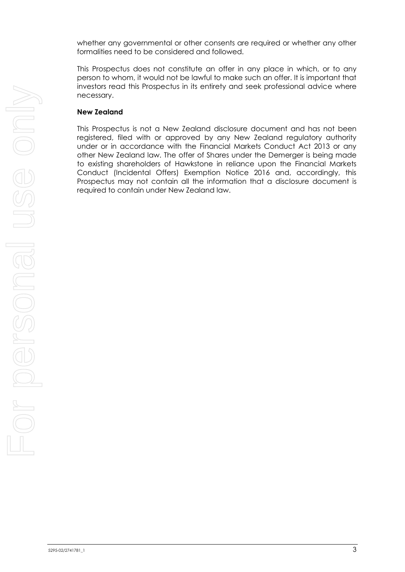whether any governmental or other consents are required or whether any other formalities need to be considered and followed.

This Prospectus does not constitute an offer in any place in which, or to any person to whom, it would not be lawful to make such an offer. It is important that investors read this Prospectus in its entirety and seek professional advice where necessary.

### **New Zealand**

This Prospectus is not a New Zealand disclosure document and has not been registered, filed with or approved by any New Zealand regulatory authority under or in accordance with the Financial Markets Conduct Act 2013 or any other New Zealand law. The offer of Shares under the Demerger is being made to existing shareholders of Hawkstone in reliance upon the Financial Markets Conduct (Incidental Offers) Exemption Notice 2016 and, accordingly, this Prospectus may not contain all the information that a disclosure document is required to contain under New Zealand law.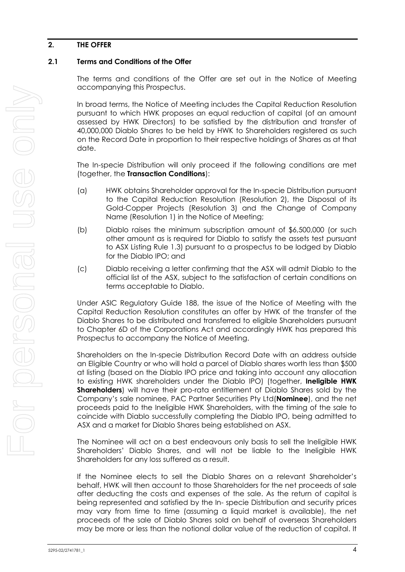## <span id="page-5-0"></span>**2. THE OFFER**

## <span id="page-5-1"></span>**2.1 Terms and Conditions of the Offer**

The terms and conditions of the Offer are set out in the Notice of Meeting accompanying this Prospectus.

In broad terms, the Notice of Meeting includes the Capital Reduction Resolution pursuant to which HWK proposes an equal reduction of capital (of an amount assessed by HWK Directors) to be satisfied by the distribution and transfer of 40,000,000 Diablo Shares to be held by HWK to Shareholders registered as such on the Record Date in proportion to their respective holdings of Shares as at that date.

The In-specie Distribution will only proceed if the following conditions are met (together, the **Transaction Conditions**):

- (a) HWK obtains Shareholder approval for the In-specie Distribution pursuant to the Capital Reduction Resolution (Resolution 2), the Disposal of its Gold-Copper Projects (Resolution 3) and the Change of Company Name (Resolution 1) in the Notice of Meeting;
- (b) Diablo raises the minimum subscription amount of \$6,500,000 (or such other amount as is required for Diablo to satisfy the assets test pursuant to ASX Listing Rule 1.3) pursuant to a prospectus to be lodged by Diablo for the Diablo IPO; and
- (c) Diablo receiving a letter confirming that the ASX will admit Diablo to the official list of the ASX, subject to the satisfaction of certain conditions on terms acceptable to Diablo.

Under ASIC Regulatory Guide 188, the issue of the Notice of Meeting with the Capital Reduction Resolution constitutes an offer by HWK of the transfer of the Diablo Shares to be distributed and transferred to eligible Shareholders pursuant to Chapter 6D of the Corporations Act and accordingly HWK has prepared this Prospectus to accompany the Notice of Meeting.

Shareholders on the In-specie Distribution Record Date with an address outside an Eligible Country or who will hold a parcel of Diablo shares worth less than \$500 at listing (based on the Diablo IPO price and taking into account any allocation to existing HWK shareholders under the Diablo IPO) (together, **Ineligible HWK Shareholders**) will have their pro-rata entitlement of Diablo Shares sold by the Company's sale nominee, PAC Partner Securities Pty Ltd(**Nominee**), and the net proceeds paid to the Ineligible HWK Shareholders, with the timing of the sale to coincide with Diablo successfully completing the Diablo IPO, being admitted to ASX and a market for Diablo Shares being established on ASX.

The Nominee will act on a best endeavours only basis to sell the Ineligible HWK Shareholders' Diablo Shares, and will not be liable to the Ineligible HWK Shareholders for any loss suffered as a result.

If the Nominee elects to sell the Diablo Shares on a relevant Shareholder's behalf, HWK will then account to those Shareholders for the net proceeds of sale after deducting the costs and expenses of the sale. As the return of capital is being represented and satisfied by the In- specie Distribution and security prices may vary from time to time (assuming a liquid market is available), the net proceeds of the sale of Diablo Shares sold on behalf of overseas Shareholders may be more or less than the notional dollar value of the reduction of capital. It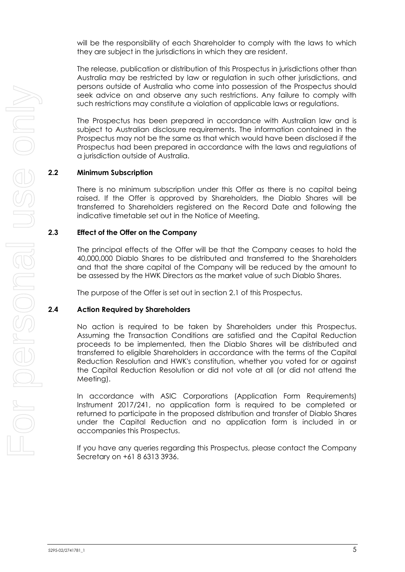will be the responsibility of each Shareholder to comply with the laws to which they are subject in the jurisdictions in which they are resident.

The release, publication or distribution of this Prospectus in jurisdictions other than Australia may be restricted by law or regulation in such other jurisdictions, and persons outside of Australia who come into possession of the Prospectus should seek advice on and observe any such restrictions. Any failure to comply with such restrictions may constitute a violation of applicable laws or regulations.

The Prospectus has been prepared in accordance with Australian law and is subject to Australian disclosure requirements. The information contained in the Prospectus may not be the same as that which would have been disclosed if the Prospectus had been prepared in accordance with the laws and regulations of a jurisdiction outside of Australia.

### **2.2 Minimum Subscription**

There is no minimum subscription under this Offer as there is no capital being raised. If the Offer is approved by Shareholders, the Diablo Shares will be transferred to Shareholders registered on the Record Date and following the indicative timetable set out in the Notice of Meeting.

### **2.3 Effect of the Offer on the Company**

The principal effects of the Offer will be that the Company ceases to hold the 40,000,000 Diablo Shares to be distributed and transferred to the Shareholders and that the share capital of the Company will be reduced by the amount to be assessed by the HWK Directors as the market value of such Diablo Shares.

The purpose of the Offer is set out in section [2.1](#page-5-1) of this Prospectus.

### **2.4 Action Required by Shareholders**

No action is required to be taken by Shareholders under this Prospectus. Assuming the Transaction Conditions are satisfied and the Capital Reduction proceeds to be implemented, then the Diablo Shares will be distributed and transferred to eligible Shareholders in accordance with the terms of the Capital Reduction Resolution and HWK's constitution, whether you voted for or against the Capital Reduction Resolution or did not vote at all (or did not attend the Meeting).

In accordance with ASIC Corporations (Application Form Requirements) Instrument 2017/241, no application form is required to be completed or returned to participate in the proposed distribution and transfer of Diablo Shares under the Capital Reduction and no application form is included in or accompanies this Prospectus.

If you have any queries regarding this Prospectus, please contact the Company Secretary on +61 8 6313 3936.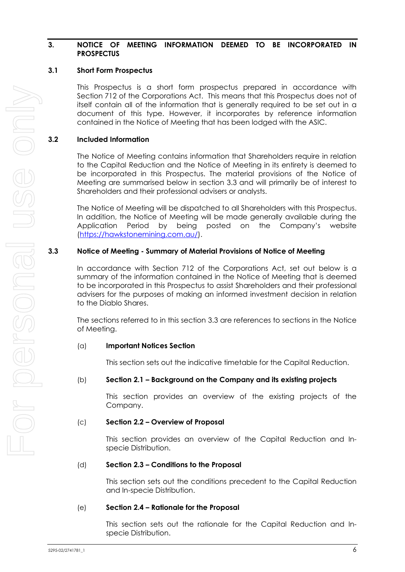### <span id="page-7-0"></span>**3. NOTICE OF MEETING INFORMATION DEEMED TO BE INCORPORATED IN PROSPECTUS**

## **3.1 Short Form Prospectus**

This Prospectus is a short form prospectus prepared in accordance with Section 712 of the Corporations Act. This means that this Prospectus does not of itself contain all of the information that is generally required to be set out in a document of this type. However, it incorporates by reference information contained in the Notice of Meeting that has been lodged with the ASIC.

## **3.2 Included Information**

The Notice of Meeting contains information that Shareholders require in relation to the Capital Reduction and the Notice of Meeting in its entirety is deemed to be incorporated in this Prospectus. The material provisions of the Notice of Meeting are summarised below in section [3.3](#page-7-1) and will primarily be of interest to Shareholders and their professional advisers or analysts.

The Notice of Meeting will be dispatched to all Shareholders with this Prospectus. In addition, the Notice of Meeting will be made generally available during the Application Period by being posted on the Company's website [\(https://hawkstonemining.com.au/\)](https://hawkstonemining.com.au/).

## <span id="page-7-1"></span>**3.3 Notice of Meeting - Summary of Material Provisions of Notice of Meeting**

In accordance with Section 712 of the Corporations Act, set out below is a summary of the information contained in the Notice of Meeting that is deemed to be incorporated in this Prospectus to assist Shareholders and their professional advisers for the purposes of making an informed investment decision in relation to the Diablo Shares.

The sections referred to in this section [3.3](#page-7-1) are references to sections in the Notice of Meeting.

### (a) **Important Notices Section**

This section sets out the indicative timetable for the Capital Reduction.

### (b) **Section 2.1 – Background on the Company and its existing projects**

This section provides an overview of the existing projects of the Company.

### (c) **Section 2.2 – Overview of Proposal**

This section provides an overview of the Capital Reduction and Inspecie Distribution.

### (d) **Section 2.3 – Conditions to the Proposal**

This section sets out the conditions precedent to the Capital Reduction and In-specie Distribution.

### (e) **Section 2.4 – Rationale for the Proposal**

This section sets out the rationale for the Capital Reduction and Inspecie Distribution.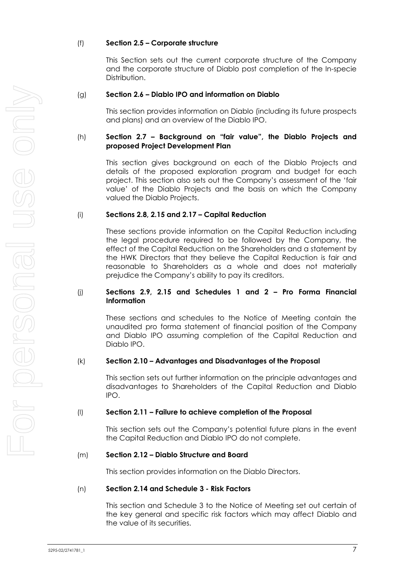### (f) **Section 2.5 – Corporate structure**

This Section sets out the current corporate structure of the Company and the corporate structure of Diablo post completion of the In-specie Distribution.

## (g) **Section 2.6 – Diablo IPO and information on Diablo**

This section provides information on Diablo (including its future prospects and plans) and an overview of the Diablo IPO.

## (h) **Section 2.7 – Background on "fair value", the Diablo Projects and proposed Project Development Plan**

This section gives background on each of the Diablo Projects and details of the proposed exploration program and budget for each project. This section also sets out the Company's assessment of the 'fair value' of the Diablo Projects and the basis on which the Company valued the Diablo Projects.

### (i) **Sections 2.8, 2.15 and 2.17 – Capital Reduction**

These sections provide information on the Capital Reduction including the legal procedure required to be followed by the Company, the effect of the Capital Reduction on the Shareholders and a statement by the HWK Directors that they believe the Capital Reduction is fair and reasonable to Shareholders as a whole and does not materially prejudice the Company's ability to pay its creditors.

### (j) **Sections 2.9, 2.15 and Schedules 1 and 2 – Pro Forma Financial Information**

These sections and schedules to the Notice of Meeting contain the unaudited pro forma statement of financial position of the Company and Diablo IPO assuming completion of the Capital Reduction and Diablo IPO.

### (k) **Section 2.10 – Advantages and Disadvantages of the Proposal**

This section sets out further information on the principle advantages and disadvantages to Shareholders of the Capital Reduction and Diablo IPO.

### (l) **Section 2.11 – Failure to achieve completion of the Proposal**

This section sets out the Company's potential future plans in the event the Capital Reduction and Diablo IPO do not complete.

# (m) **Section 2.12 – Diablo Structure and Board**

This section provides information on the Diablo Directors.

### (n) **Section 2.14 and Schedule 3 - Risk Factors**

This section and Schedule 3 to the Notice of Meeting set out certain of the key general and specific risk factors which may affect Diablo and the value of its securities.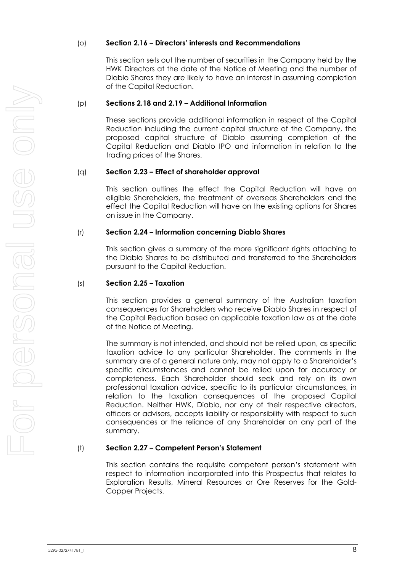### (o) **Section 2.16 – Directors' interests and Recommendations**

This section sets out the number of securities in the Company held by the HWK Directors at the date of the Notice of Meeting and the number of Diablo Shares they are likely to have an interest in assuming completion of the Capital Reduction.

#### (p) **Sections 2.18 and 2.19 – Additional Information**

These sections provide additional information in respect of the Capital Reduction including the current capital structure of the Company, the proposed capital structure of Diablo assuming completion of the Capital Reduction and Diablo IPO and information in relation to the trading prices of the Shares.

#### (q) **Section 2.23 – Effect of shareholder approval**

This section outlines the effect the Capital Reduction will have on eligible Shareholders, the treatment of overseas Shareholders and the effect the Capital Reduction will have on the existing options for Shares on issue in the Company.

#### (r) **Section 2.24 – Information concerning Diablo Shares**

This section gives a summary of the more significant rights attaching to the Diablo Shares to be distributed and transferred to the Shareholders pursuant to the Capital Reduction.

#### (s) **Section 2.25 – Taxation**

This section provides a general summary of the Australian taxation consequences for Shareholders who receive Diablo Shares in respect of the Capital Reduction based on applicable taxation law as at the date of the Notice of Meeting.

The summary is not intended, and should not be relied upon, as specific taxation advice to any particular Shareholder. The comments in the summary are of a general nature only, may not apply to a Shareholder's specific circumstances and cannot be relied upon for accuracy or completeness. Each Shareholder should seek and rely on its own professional taxation advice, specific to its particular circumstances, in relation to the taxation consequences of the proposed Capital Reduction. Neither HWK, Diablo, nor any of their respective directors, officers or advisers, accepts liability or responsibility with respect to such consequences or the reliance of any Shareholder on any part of the summary.

### (t) **Section 2.27 – Competent Person's Statement**

This section contains the requisite competent person's statement with respect to information incorporated into this Prospectus that relates to Exploration Results, Mineral Resources or Ore Reserves for the Gold-Copper Projects.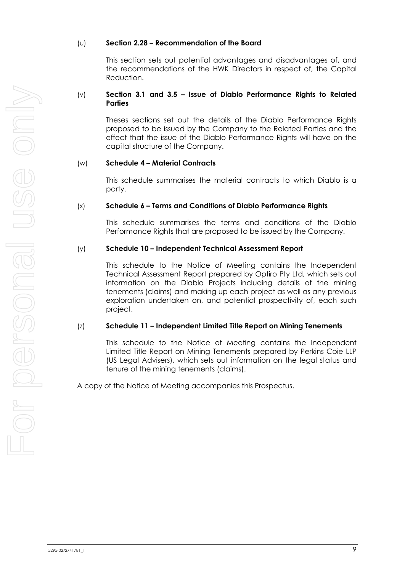#### (u) **Section 2.28 – Recommendation of the Board**

This section sets out potential advantages and disadvantages of, and the recommendations of the HWK Directors in respect of, the Capital Reduction.

#### (v) **Section 3.1 and 3.5 – Issue of Diablo Performance Rights to Related Parties**

Theses sections set out the details of the Diablo Performance Rights proposed to be issued by the Company to the Related Parties and the effect that the issue of the Diablo Performance Rights will have on the capital structure of the Company.

#### (w) **Schedule 4 – Material Contracts**

This schedule summarises the material contracts to which Diablo is a party.

#### (x) **Schedule 6 – Terms and Conditions of Diablo Performance Rights**

This schedule summarises the terms and conditions of the Diablo Performance Rights that are proposed to be issued by the Company.

#### (y) **Schedule 10 – Independent Technical Assessment Report**

This schedule to the Notice of Meeting contains the Independent Technical Assessment Report prepared by Optiro Pty Ltd, which sets out information on the Diablo Projects including details of the mining tenements (claims) and making up each project as well as any previous exploration undertaken on, and potential prospectivity of, each such project.

### (z) **Schedule 11 – Independent Limited Title Report on Mining Tenements**

This schedule to the Notice of Meeting contains the Independent Limited Title Report on Mining Tenements prepared by Perkins Coie LLP (US Legal Advisers), which sets out information on the legal status and tenure of the mining tenements (claims).

A copy of the Notice of Meeting accompanies this Prospectus.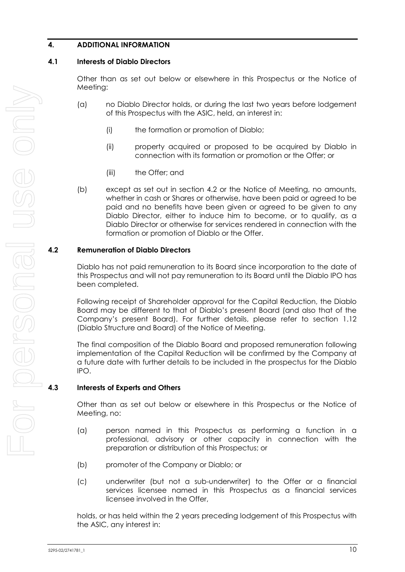# <span id="page-11-0"></span>**4. ADDITIONAL INFORMATION**

### **4.1 Interests of Diablo Directors**

Other than as set out below or elsewhere in this Prospectus or the Notice of Meeting:

- (a) no Diablo Director holds, or during the last two years before lodgement of this Prospectus with the ASIC, held, an interest in:
	- (i) the formation or promotion of Diablo;
	- (ii) property acquired or proposed to be acquired by Diablo in connection with its formation or promotion or the Offer; or
	- (iii) the Offer; and
- (b) except as set out in section [4.2](#page-11-1) or the Notice of Meeting, no amounts, whether in cash or Shares or otherwise, have been paid or agreed to be paid and no benefits have been given or agreed to be given to any Diablo Director, either to induce him to become, or to qualify, as a Diablo Director or otherwise for services rendered in connection with the formation or promotion of Diablo or the Offer.

### <span id="page-11-1"></span>**4.2 Remuneration of Diablo Directors**

Diablo has not paid remuneration to its Board since incorporation to the date of this Prospectus and will not pay remuneration to its Board until the Diablo IPO has been completed.

Following receipt of Shareholder approval for the Capital Reduction, the Diablo Board may be different to that of Diablo's present Board (and also that of the Company's present Board). For further details, please refer to section 1.12 (Diablo Structure and Board) of the Notice of Meeting.

The final composition of the Diablo Board and proposed remuneration following implementation of the Capital Reduction will be confirmed by the Company at a future date with further details to be included in the prospectus for the Diablo IPO.

### **4.3 Interests of Experts and Others**

Other than as set out below or elsewhere in this Prospectus or the Notice of Meeting, no:

- (a) person named in this Prospectus as performing a function in a professional, advisory or other capacity in connection with the preparation or distribution of this Prospectus; or
- (b) promoter of the Company or Diablo; or
- (c) underwriter (but not a sub-underwriter) to the Offer or a financial services licensee named in this Prospectus as a financial services licensee involved in the Offer,

holds, or has held within the 2 years preceding lodgement of this Prospectus with the ASIC, any interest in: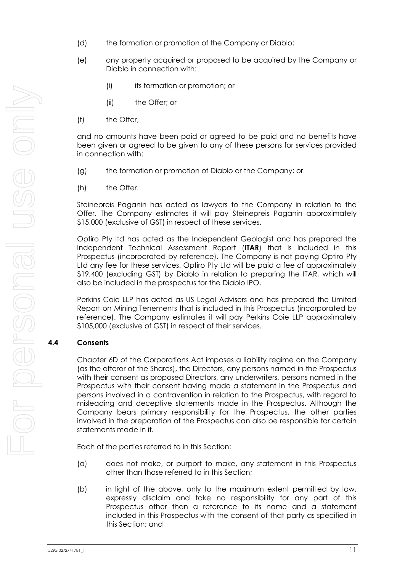- (d) the formation or promotion of the Company or Diablo;
- (e) any property acquired or proposed to be acquired by the Company or Diablo in connection with:
	- (i) its formation or promotion; or
	- (ii) the Offer; or
- (f) the Offer,

and no amounts have been paid or agreed to be paid and no benefits have been given or agreed to be given to any of these persons for services provided in connection with:

- (g) the formation or promotion of Diablo or the Company; or
- (h) the Offer.

Steinepreis Paganin has acted as lawyers to the Company in relation to the Offer. The Company estimates it will pay Steinepreis Paganin approximately \$15,000 (exclusive of GST) in respect of these services.

Optiro Pty ltd has acted as the Independent Geologist and has prepared the Independent Technical Assessment Report (**ITAR**) that is included in this Prospectus (incorporated by reference). The Company is not paying Optiro Pty Ltd any fee for these services. Optiro Pty Ltd will be paid a fee of approximately \$19,400 (excluding GST) by Diablo in relation to preparing the ITAR, which will also be included in the prospectus for the Diablo IPO.

Perkins Coie LLP has acted as US Legal Advisers and has prepared the Limited Report on Mining Tenements that is included in this Prospectus (incorporated by reference). The Company estimates it will pay Perkins Coie LLP approximately \$105,000 (exclusive of GST) in respect of their services.

### **4.4 Consents**

Chapter 6D of the Corporations Act imposes a liability regime on the Company (as the offeror of the Shares), the Directors, any persons named in the Prospectus with their consent as proposed Directors, any underwriters, persons named in the Prospectus with their consent having made a statement in the Prospectus and persons involved in a contravention in relation to the Prospectus, with regard to misleading and deceptive statements made in the Prospectus. Although the Company bears primary responsibility for the Prospectus, the other parties involved in the preparation of the Prospectus can also be responsible for certain statements made in it.

Each of the parties referred to in this Section:

- (a) does not make, or purport to make, any statement in this Prospectus other than those referred to in this Section;
- (b) in light of the above, only to the maximum extent permitted by law, expressly disclaim and take no responsibility for any part of this Prospectus other than a reference to its name and a statement included in this Prospectus with the consent of that party as specified in this Section; and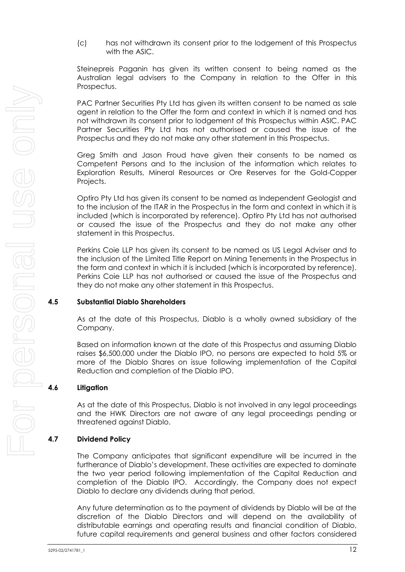(c) has not withdrawn its consent prior to the lodgement of this Prospectus with the ASIC.

Steinepreis Paganin has given its written consent to being named as the Australian legal advisers to the Company in relation to the Offer in this Prospectus.

PAC Partner Securities Pty Ltd has given its written consent to be named as sale agent in relation to the Offer the form and context in which it is named and has not withdrawn its consent prior to lodgement of this Prospectus within ASIC. PAC Partner Securities Pty Ltd has not authorised or caused the issue of the Prospectus and they do not make any other statement in this Prospectus.

Greg Smith and Jason Froud have given their consents to be named as Competent Persons and to the inclusion of the information which relates to Exploration Results, Mineral Resources or Ore Reserves for the Gold-Copper Projects.

Optiro Pty Ltd has given its consent to be named as Independent Geologist and to the inclusion of the ITAR in the Prospectus in the form and context in which it is included (which is incorporated by reference). Optiro Pty Ltd has not authorised or caused the issue of the Prospectus and they do not make any other statement in this Prospectus.

Perkins Coie LLP has given its consent to be named as US Legal Adviser and to the inclusion of the Limited Title Report on Mining Tenements in the Prospectus in the form and context in which it is included (which is incorporated by reference). Perkins Coie LLP has not authorised or caused the issue of the Prospectus and they do not make any other statement in this Prospectus.

# **4.5 Substantial Diablo Shareholders**

As at the date of this Prospectus, Diablo is a wholly owned subsidiary of the Company.

Based on information known at the date of this Prospectus and assuming Diablo raises \$6,500,000 under the Diablo IPO, no persons are expected to hold 5% or more of the Diablo Shares on issue following implementation of the Capital Reduction and completion of the Diablo IPO.

### **4.6 Litigation**

As at the date of this Prospectus, Diablo is not involved in any legal proceedings and the HWK Directors are not aware of any legal proceedings pending or threatened against Diablo.

# **4.7 Dividend Policy**

The Company anticipates that significant expenditure will be incurred in the furtherance of Diablo's development. These activities are expected to dominate the two year period following implementation of the Capital Reduction and completion of the Diablo IPO. Accordingly, the Company does not expect Diablo to declare any dividends during that period.

Any future determination as to the payment of dividends by Diablo will be at the discretion of the Diablo Directors and will depend on the availability of distributable earnings and operating results and financial condition of Diablo, future capital requirements and general business and other factors considered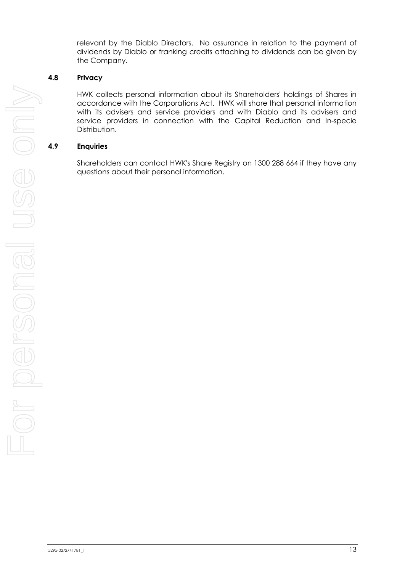relevant by the Diablo Directors. No assurance in relation to the payment of dividends by Diablo or franking credits attaching to dividends can be given by the Company.

## **4.8 Privacy**

HWK collects personal information about its Shareholders' holdings of Shares in accordance with the Corporations Act. HWK will share that personal information with its advisers and service providers and with Diablo and its advisers and service providers in connection with the Capital Reduction and In-specie Distribution.

## **4.9 Enquiries**

Shareholders can contact HWK's Share Registry on 1300 288 664 if they have any questions about their personal information.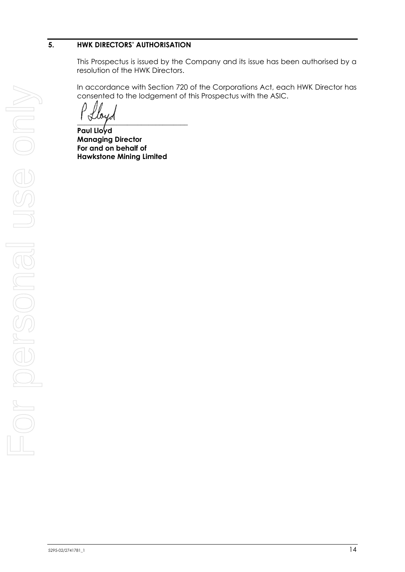## <span id="page-15-0"></span>**5. HWK DIRECTORS' AUTHORISATION**

This Prospectus is issued by the Company and its issue has been authorised by a resolution of the HWK Directors.

In accordance with Section 720 of the Corporations Act, each HWK Director has consented to the lodgement of this Prospectus with the ASIC.

 $\overline{\phantom{a}}$ 

<span id="page-15-1"></span>**Paul Lloyd Managing Director For and on behalf of Hawkstone Mining Limited**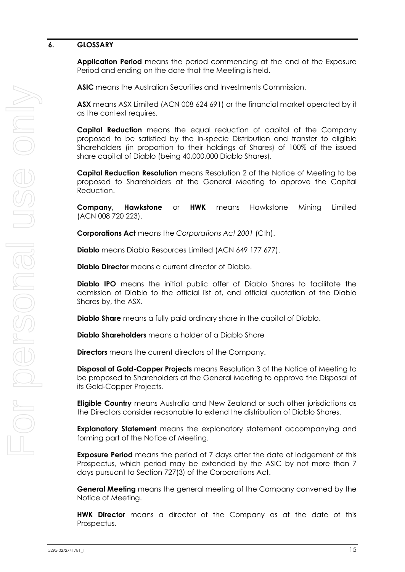### <span id="page-16-0"></span>**6. GLOSSARY**

**Application Period** means the period commencing at the end of the Exposure Period and ending on the date that the Meeting is held.

**ASIC** means the Australian Securities and Investments Commission.

**ASX** means ASX Limited (ACN 008 624 691) or the financial market operated by it as the context requires.

**Capital Reduction** means the equal reduction of capital of the Company proposed to be satisfied by the In-specie Distribution and transfer to eligible Shareholders (in proportion to their holdings of Shares) of 100% of the issued share capital of Diablo (being 40,000,000 Diablo Shares).

**Capital Reduction Resolution** means Resolution 2 of the Notice of Meeting to be proposed to Shareholders at the General Meeting to approve the Capital Reduction.

**Company, Hawkstone** or **HWK** means Hawkstone Mining Limited (ACN 008 720 223).

**Corporations Act** means the *Corporations Act 2001* (Cth).

**Diablo** means Diablo Resources Limited (ACN 649 177 677).

**Diablo Director** means a current director of Diablo.

**Diablo IPO** means the initial public offer of Diablo Shares to facilitate the admission of Diablo to the official list of, and official quotation of the Diablo Shares by, the ASX.

**Diablo Share** means a fully paid ordinary share in the capital of Diablo.

**Diablo Shareholders** means a holder of a Diablo Share

**Directors** means the current directors of the Company.

**Disposal of Gold-Copper Projects** means Resolution 3 of the Notice of Meeting to be proposed to Shareholders at the General Meeting to approve the Disposal of its Gold-Copper Projects.

**Eligible Country** means Australia and New Zealand or such other jurisdictions as the Directors consider reasonable to extend the distribution of Diablo Shares.

**Explanatory Statement** means the explanatory statement accompanying and forming part of the Notice of Meeting.

**Exposure Period** means the period of 7 days after the date of lodgement of this Prospectus, which period may be extended by the ASIC by not more than 7 days pursuant to Section 727(3) of the Corporations Act.

**General Meeting** means the general meeting of the Company convened by the Notice of Meeting.

**HWK Director** means a director of the Company as at the date of this Prospectus.